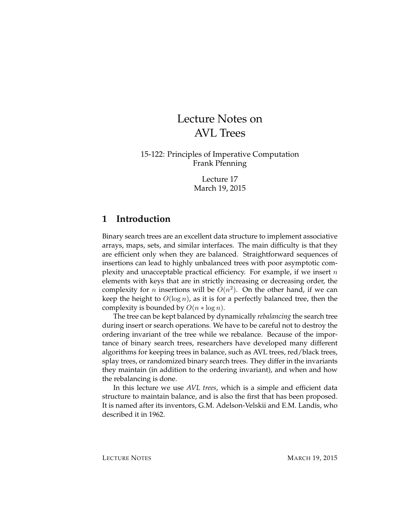# Lecture Notes on AVL Trees

15-122: Principles of Imperative Computation Frank Pfenning

> Lecture 17 March 19, 2015

#### **1 Introduction**

Binary search trees are an excellent data structure to implement associative arrays, maps, sets, and similar interfaces. The main difficulty is that they are efficient only when they are balanced. Straightforward sequences of insertions can lead to highly unbalanced trees with poor asymptotic complexity and unacceptable practical efficiency. For example, if we insert  $n$ elements with keys that are in strictly increasing or decreasing order, the complexity for *n* insertions will be  $O(n^2)$ . On the other hand, if we can keep the height to  $O(\log n)$ , as it is for a perfectly balanced tree, then the complexity is bounded by  $O(n * \log n)$ .

The tree can be kept balanced by dynamically *rebalancing* the search tree during insert or search operations. We have to be careful not to destroy the ordering invariant of the tree while we rebalance. Because of the importance of binary search trees, researchers have developed many different algorithms for keeping trees in balance, such as AVL trees, red/black trees, splay trees, or randomized binary search trees. They differ in the invariants they maintain (in addition to the ordering invariant), and when and how the rebalancing is done.

In this lecture we use *AVL trees*, which is a simple and efficient data structure to maintain balance, and is also the first that has been proposed. It is named after its inventors, G.M. Adelson-Velskii and E.M. Landis, who described it in 1962.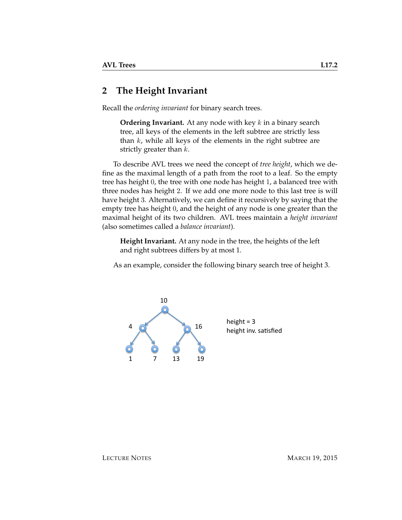#### **2 The Height Invariant**

Recall the *ordering invariant* for binary search trees.

**Ordering Invariant.** At any node with key k in a binary search tree, all keys of the elements in the left subtree are strictly less than  $k$ , while all keys of the elements in the right subtree are strictly greater than  $k$ .

To describe AVL trees we need the concept of *tree height*, which we define as the maximal length of a path from the root to a leaf. So the empty tree has height 0, the tree with one node has height 1, a balanced tree with three nodes has height 2. If we add one more node to this last tree is will have height 3. Alternatively, we can define it recursively by saying that the empty tree has height 0, and the height of any node is one greater than the maximal height of its two children. AVL trees maintain a *height invariant* (also sometimes called a *balance invariant*).

**Height Invariant.** At any node in the tree, the heights of the left and right subtrees differs by at most 1.

As an example, consider the following binary search tree of height 3.



height =  $3$ height inv. satisfied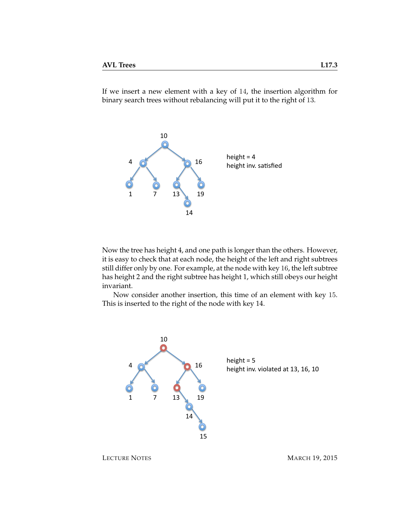If we insert a new element with a key of 14, the insertion algorithm for binary search trees without rebalancing will put it to the right of 13.



Now the tree has height 4, and one path is longer than the others. However, it is easy to check that at each node, the height of the left and right subtrees still differ only by one. For example, at the node with key 16, the left subtree has height 2 and the right subtree has height 1, which still obeys our height invariant.

Now consider another insertion, this time of an element with key 15. This is inserted to the right of the node with key 14.

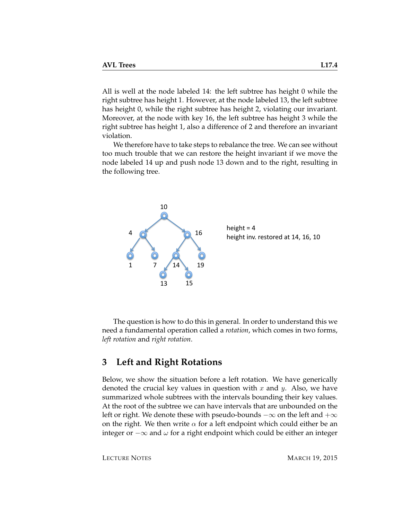All is well at the node labeled 14: the left subtree has height 0 while the right subtree has height 1. However, at the node labeled 13, the left subtree has height 0, while the right subtree has height 2, violating our invariant. Moreover, at the node with key 16, the left subtree has height 3 while the right subtree has height 1, also a difference of 2 and therefore an invariant violation.

We therefore have to take steps to rebalance the tree. We can see without too much trouble that we can restore the height invariant if we move the node labeled 14 up and push node 13 down and to the right, resulting in the following tree.



The question is how to do this in general. In order to understand this we need a fundamental operation called a *rotation*, which comes in two forms, *left rotation* and *right rotation*.

## **3 Left and Right Rotations**

Below, we show the situation before a left rotation. We have generically denoted the crucial key values in question with  $x$  and  $y$ . Also, we have summarized whole subtrees with the intervals bounding their key values. At the root of the subtree we can have intervals that are unbounded on the left or right. We denote these with pseudo-bounds  $-\infty$  on the left and  $+\infty$ on the right. We then write  $\alpha$  for a left endpoint which could either be an integer or  $-\infty$  and  $ω$  for a right endpoint which could be either an integer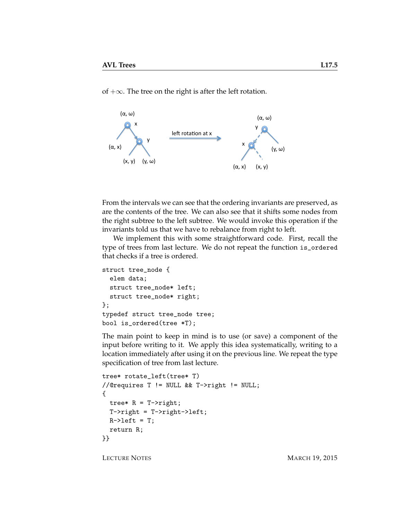of  $+\infty$ . The tree on the right is after the left rotation.



From the intervals we can see that the ordering invariants are preserved, as are the contents of the tree. We can also see that it shifts some nodes from the right subtree to the left subtree. We would invoke this operation if the invariants told us that we have to rebalance from right to left.

We implement this with some straightforward code. First, recall the type of trees from last lecture. We do not repeat the function is\_ordered that checks if a tree is ordered.

```
struct tree_node {
  elem data;
  struct tree_node* left;
 struct tree_node* right;
};
typedef struct tree_node tree;
bool is_ordered(tree *T);
```
The main point to keep in mind is to use (or save) a component of the input before writing to it. We apply this idea systematically, writing to a location immediately after using it on the previous line. We repeat the type specification of tree from last lecture.

```
tree* rotate_left(tree* T)
//@requires T != NULL && T->right != NULL;
{
 tree* R = T->right;
 T->right = T->right->left;
 R->left = T;return R;
}}
```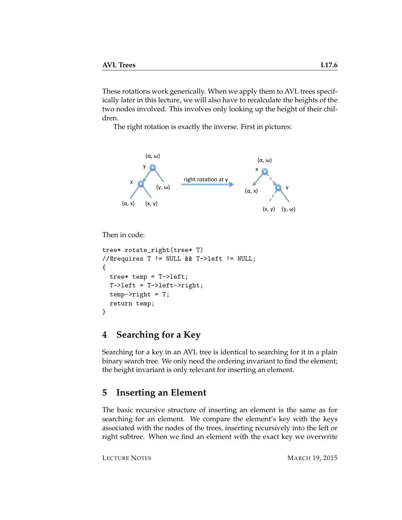These rotations work generically. When we apply them to AVL trees specifically later in this lecture, we will also have to recalculate the heights of the two nodes involved. This involves only looking up the height of their children.

The right rotation is exactly the inverse. First in pictures:



```
Then in code:
```

```
tree* rotate_right(tree* T)
//@requires T != NULL && T->left != NULL;
{
 tree* temp = T-\lambdaleft;
 T->left = T->left->right;
  temp->right = T;
  return temp;
}
```
## **4 Searching for a Key**

Searching for a key in an AVL tree is identical to searching for it in a plain binary search tree. We only need the ordering invariant to find the element; the height invariant is only relevant for inserting an element.

## <span id="page-5-0"></span>**5 Inserting an Element**

The basic recursive structure of inserting an element is the same as for searching for an element. We compare the element's key with the keys associated with the nodes of the trees, inserting recursively into the left or right subtree. When we find an element with the exact key we overwrite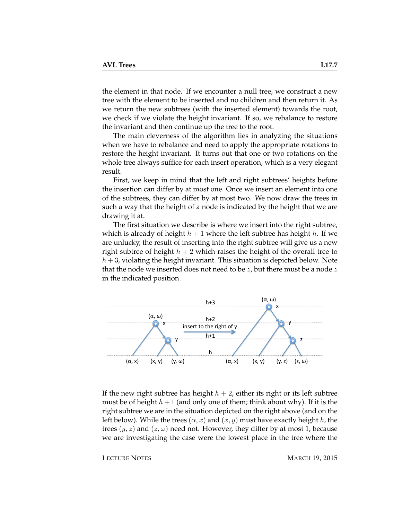the element in that node. If we encounter a null tree, we construct a new tree with the element to be inserted and no children and then return it. As we return the new subtrees (with the inserted element) towards the root, we check if we violate the height invariant. If so, we rebalance to restore the invariant and then continue up the tree to the root.

The main cleverness of the algorithm lies in analyzing the situations when we have to rebalance and need to apply the appropriate rotations to restore the height invariant. It turns out that one or two rotations on the whole tree always suffice for each insert operation, which is a very elegant result.

First, we keep in mind that the left and right subtrees' heights before the insertion can differ by at most one. Once we insert an element into one of the subtrees, they can differ by at most two. We now draw the trees in such a way that the height of a node is indicated by the height that we are drawing it at.

The first situation we describe is where we insert into the right subtree, which is already of height  $h + 1$  where the left subtree has height h. If we are unlucky, the result of inserting into the right subtree will give us a new right subtree of height  $h + 2$  which raises the height of the overall tree to  $h + 3$ , violating the height invariant. This situation is depicted below. Note that the node we inserted does not need to be  $z$ , but there must be a node  $z$ in the indicated position.



If the new right subtree has height  $h + 2$ , either its right or its left subtree must be of height  $h+1$  (and only one of them; think about why). If it is the right subtree we are in the situation depicted on the right above (and on the left below). While the trees  $(\alpha, x)$  and  $(x, y)$  must have exactly height h, the trees  $(y, z)$  and  $(z, \omega)$  need not. However, they differ by at most 1, because we are investigating the case were the lowest place in the tree where the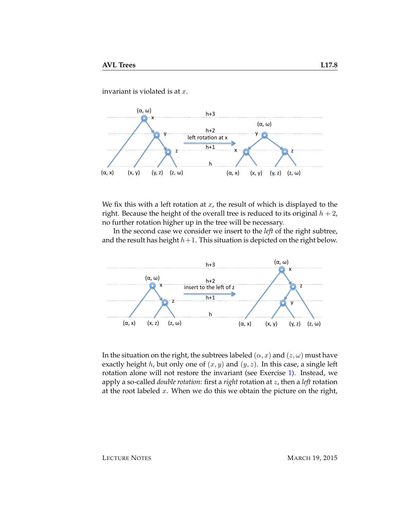invariant is violated is at  $x$ .



We fix this with a left rotation at  $x$ , the result of which is displayed to the right. Because the height of the overall tree is reduced to its original  $h + 2$ , no further rotation higher up in the tree will be necessary.

In the second case we consider we insert to the *left* of the right subtree, and the result has height  $h+1$ . This situation is depicted on the right below.



In the situation on the right, the subtrees labeled  $(\alpha, x)$  and  $(z, \omega)$  must have exactly height h, but only one of  $(x, y)$  and  $(y, z)$ . In this case, a single left rotation alone will not restore the invariant (see Exercise [1\)](#page-14-0). Instead, we apply a so-called *double rotation*: first a *right* rotation at z, then a *left* rotation at the root labeled  $x$ . When we do this we obtain the picture on the right,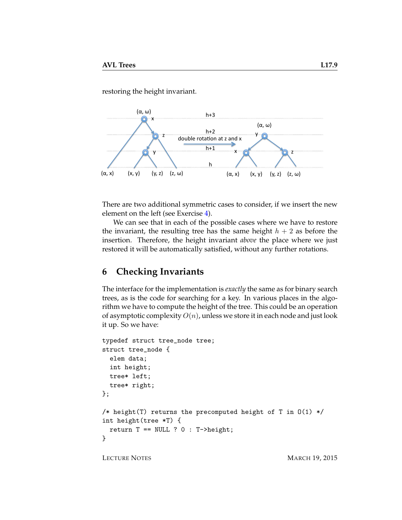restoring the height invariant.



There are two additional symmetric cases to consider, if we insert the new element on the left (see Exercise [4\)](#page-14-1).

We can see that in each of the possible cases where we have to restore the invariant, the resulting tree has the same height  $h + 2$  as before the insertion. Therefore, the height invariant *above* the place where we just restored it will be automatically satisfied, without any further rotations.

## **6 Checking Invariants**

The interface for the implementation is *exactly* the same as for binary search trees, as is the code for searching for a key. In various places in the algorithm we have to compute the height of the tree. This could be an operation of asymptotic complexity  $O(n)$ , unless we store it in each node and just look it up. So we have:

```
typedef struct tree_node tree;
struct tree_node {
  elem data;
  int height;
  tree* left;
  tree* right;
};
/* height(T) returns the precomputed height of T in O(1) */
int height(tree *T) {
  return T = Number NULL ? 0 : T->height;}
```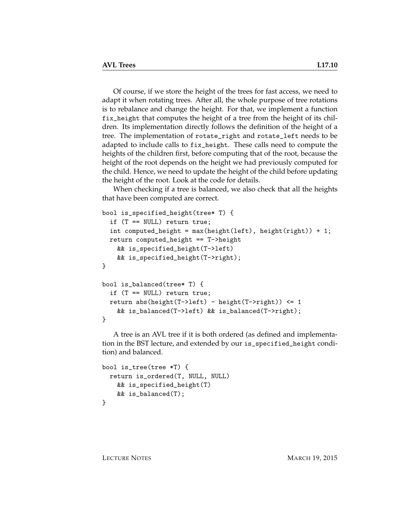Of course, if we store the height of the trees for fast access, we need to adapt it when rotating trees. After all, the whole purpose of tree rotations is to rebalance and change the height. For that, we implement a function fix\_height that computes the height of a tree from the height of its children. Its implementation directly follows the definition of the height of a tree. The implementation of rotate\_right and rotate\_left needs to be adapted to include calls to fix\_height. These calls need to compute the heights of the children first, before computing that of the root, because the height of the root depends on the height we had previously computed for the child. Hence, we need to update the height of the child before updating the height of the root. Look at the code for details.

When checking if a tree is balanced, we also check that all the heights that have been computed are correct.

```
bool is_specified_height(tree* T) {
  if (T == NULL) return true;
  int computed_height = max(height(left), height(right)) + 1;
 return computed_height == T->height
   && is_specified_height(T->left)
   && is_specified_height(T->right);
}
bool is_balanced(tree* T) {
  if (T == NULL) return true;
 return abs(height(T->left) - height(T->right)) <= 1
   && is_balanced(T->left) && is_balanced(T->right);
}
```
A tree is an AVL tree if it is both ordered (as defined and implementation in the BST lecture, and extended by our is\_specified\_height condition) and balanced.

```
bool is_tree(tree *T) {
 return is_ordered(T, NULL, NULL)
   && is_specified_height(T)
   && is_balanced(T);
}
```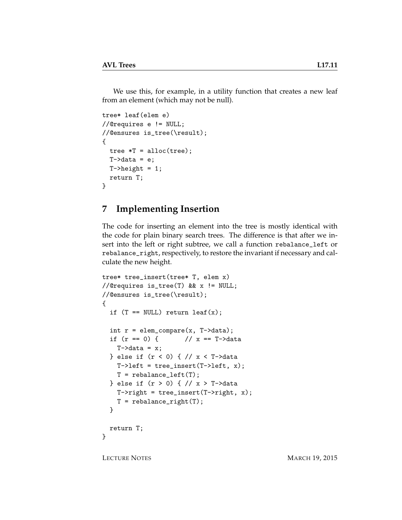We use this, for example, in a utility function that creates a new leaf from an element (which may not be null).

```
tree* leaf(elem e)
//@requires e != NULL;
//@ensures is_tree(\result);
{
  tree *T = alloc(tree);
  T-\lambda data = e;
  T->height = 1;
  return T;
}
```
## **7 Implementing Insertion**

The code for inserting an element into the tree is mostly identical with the code for plain binary search trees. The difference is that after we insert into the left or right subtree, we call a function rebalance\_left or rebalance\_right, respectively, to restore the invariant if necessary and calculate the new height.

```
tree* tree_insert(tree* T, elem x)
//@requires is_tree(T) && x != NULL;
//@ensures is_tree(\result);
{
  if (T == NULL) return leaf(x);
  int r = element_{compare}(x, T-\lambda)if (r == 0) { // x == T-\lambda dataT-\lambda dx = x;} else if (r < 0) { // x < T->data
    T-\lambdaleft = tree_insert(T-\lambdaleft, x);
    T = rebalance_left(T);
  } else if (r > 0) { // x > T->data
    T\rightarrowright = tree_insert(T->right, x);
    T = rebalance_right(T);
  }
  return T;
}
```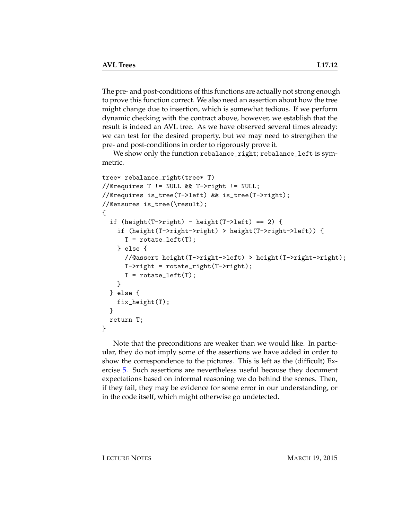The pre- and post-conditions of this functions are actually not strong enough to prove this function correct. We also need an assertion about how the tree might change due to insertion, which is somewhat tedious. If we perform dynamic checking with the contract above, however, we establish that the result is indeed an AVL tree. As we have observed several times already: we can test for the desired property, but we may need to strengthen the pre- and post-conditions in order to rigorously prove it.

We show only the function rebalance\_right; rebalance\_left is symmetric.

```
tree* rebalance_right(tree* T)
//@requires T != NULL && T->right != NULL;
//@requires is_tree(T->left) && is_tree(T->right);
//@ensures is_tree(\result);
{
  if (height(T->right) - height(T->left) == 2) {
    if (height(T->right->right) > height(T->right->left)) {
      T = \text{rotate} \text{left}(T);
    } else {
      //@assert height(T->right->left) > height(T->right->right);
      T->right = rotate_right(T->right);
      T = \text{rotate} [eft(T);
    }
  } else {
    fix_height(T);
  }
  return T;
}
```
Note that the preconditions are weaker than we would like. In particular, they do not imply some of the assertions we have added in order to show the correspondence to the pictures. This is left as the (difficult) Exercise [5.](#page-14-2) Such assertions are nevertheless useful because they document expectations based on informal reasoning we do behind the scenes. Then, if they fail, they may be evidence for some error in our understanding, or in the code itself, which might otherwise go undetected.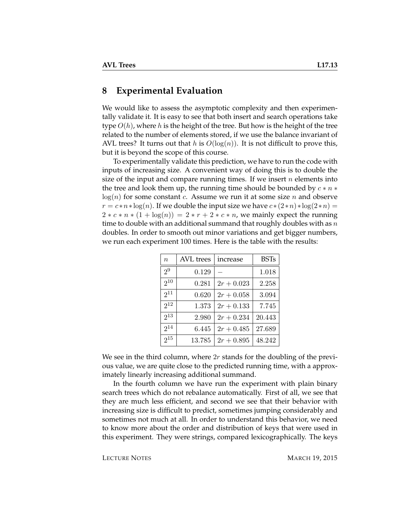#### **8 Experimental Evaluation**

We would like to assess the asymptotic complexity and then experimentally validate it. It is easy to see that both insert and search operations take type  $O(h)$ , where h is the height of the tree. But how is the height of the tree related to the number of elements stored, if we use the balance invariant of AVL trees? It turns out that h is  $O(log(n))$ . It is not difficult to prove this, but it is beyond the scope of this course.

To experimentally validate this prediction, we have to run the code with inputs of increasing size. A convenient way of doing this is to double the size of the input and compare running times. If we insert  $n$  elements into the tree and look them up, the running time should be bounded by  $c * n *$  $log(n)$  for some constant c. Assume we run it at some size n and observe  $r = c * n * log(n)$ . If we double the input size we have  $c * (2 * n) * log(2 * n) =$  $2 \times c \times n \times (1 + \log(n)) = 2 \times r + 2 \times c \times n$ , we mainly expect the running time to double with an additional summand that roughly doubles with as  $n$ doubles. In order to smooth out minor variations and get bigger numbers, we run each experiment 100 times. Here is the table with the results:

| $\boldsymbol{n}$ | AVL trees | increase     | <b>BSTs</b> |
|------------------|-----------|--------------|-------------|
| 2 <sup>9</sup>   | 0.129     |              | 1.018       |
| $2^{10}$         | 0.281     | $2r + 0.023$ | 2.258       |
| $2^{11}$         | 0.620     | $2r + 0.058$ | 3.094       |
| $2^{12}$         | 1.373     | $2r + 0.133$ | 7.745       |
| $2^{13}$         | 2.980     | $2r + 0.234$ | 20.443      |
| $2^{14}$         | 6.445     | $2r + 0.485$ | 27.689      |
| $2^{15}$         | 13.785    | $2r + 0.895$ | 48.242      |

We see in the third column, where  $2r$  stands for the doubling of the previous value, we are quite close to the predicted running time, with a approximately linearly increasing additional summand.

In the fourth column we have run the experiment with plain binary search trees which do not rebalance automatically. First of all, we see that they are much less efficient, and second we see that their behavior with increasing size is difficult to predict, sometimes jumping considerably and sometimes not much at all. In order to understand this behavior, we need to know more about the order and distribution of keys that were used in this experiment. They were strings, compared lexicographically. The keys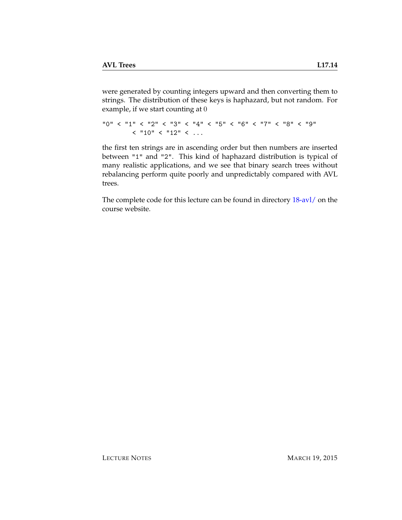were generated by counting integers upward and then converting them to strings. The distribution of these keys is haphazard, but not random. For example, if we start counting at 0

```
"0" < "1" < "2" < "3" < "4" < "5" < "6" < "7" < "8" < "9"
       < "10" < "12" < ...
```
the first ten strings are in ascending order but then numbers are inserted between "1" and "2". This kind of haphazard distribution is typical of many realistic applications, and we see that binary search trees without rebalancing perform quite poorly and unpredictably compared with AVL trees.

The complete code for this lecture can be found in directory [18-avl/](http://www.cs.cmu.edu/~rjsimmon/15122-f14/18-avl/) on the course website.